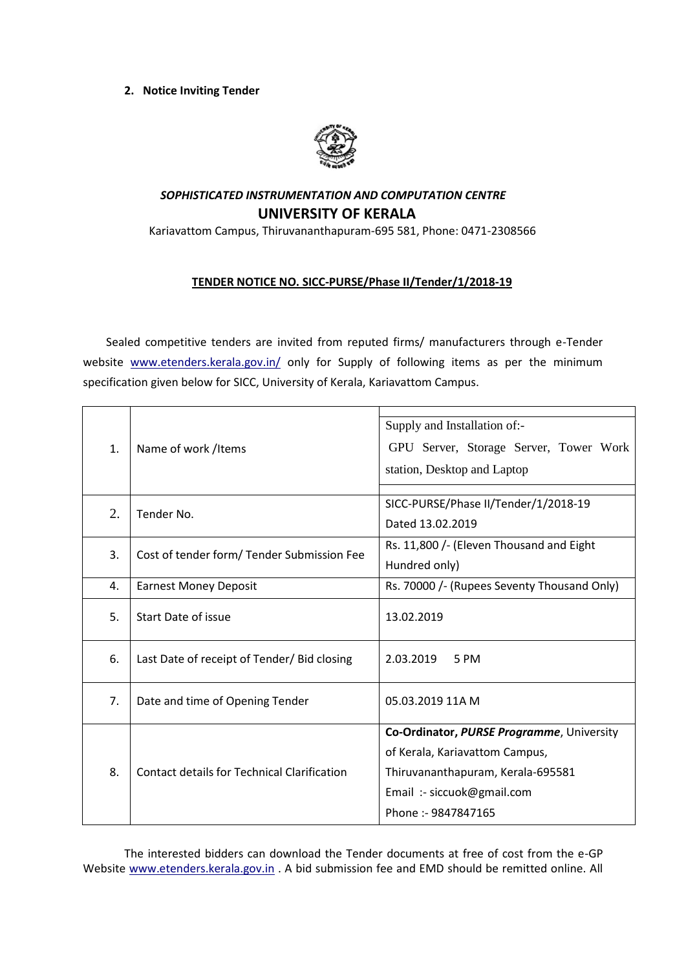## **2. Notice Inviting Tender**



## *SOPHISTICATED INSTRUMENTATION AND COMPUTATION CENTRE*  **UNIVERSITY OF KERALA**

Kariavattom Campus, Thiruvananthapuram-695 581, Phone: 0471-2308566

## **TENDER NOTICE NO. SICC-PURSE/Phase II/Tender/1/2018-19**

Sealed competitive tenders are invited from reputed firms/ manufacturers through e-Tender website [www.etenders.kerala.gov.in/](https://ccs.infospace.com/ClickHandler.ashx?encp=ld%3D20170109%26app%3D1%26c%3DAV772%26s%3DAV%26rc%3DAV772%26dc%3D%26euip%3D14.139.185.66%26pvaid%3D2fff3e2f9055433ab11c696db3d5a687%26dt%3DDesktop%26vid%3D606190505.3343461609909.1482987607.2%26fct.uid%3D0d1bb2749021432fbf9cba1c886d4a98%26en%3DpAiBppRwHTqgtNHR9bC%252fflewzJRnoFdL3QeqYP%252bQUQU%253d%26ru%3Dhttps%253a%252f%252fwww.etenders.kerala.gov.in%252f%26coi%3D239138%26npp%3D1%26p%3D0%26pp%3D0%26mid%3D9%26ep%3D1%26du%3Dhttps%253a%252f%252fwww.etenders.kerala.gov.in%252f%26hash%3D09A17ADABCBDD17B2486F7C7D2776B2C&ap=1&cop=main-title#_blank) only for Supply of following items as per the minimum specification given below for SICC, University of Kerala, Kariavattom Campus.

| 1. | Name of work /Items                                | Supply and Installation of:-                |
|----|----------------------------------------------------|---------------------------------------------|
|    |                                                    | GPU Server, Storage Server, Tower Work      |
|    |                                                    | station, Desktop and Laptop                 |
|    |                                                    |                                             |
| 2. | Tender No.                                         | SICC-PURSE/Phase II/Tender/1/2018-19        |
|    |                                                    | Dated 13.02.2019                            |
| 3. | Cost of tender form/ Tender Submission Fee         | Rs. 11,800 /- (Eleven Thousand and Eight    |
|    |                                                    | Hundred only)                               |
| 4. | <b>Earnest Money Deposit</b>                       | Rs. 70000 /- (Rupees Seventy Thousand Only) |
| 5. | Start Date of issue                                | 13.02.2019                                  |
|    |                                                    |                                             |
| 6. | Last Date of receipt of Tender/ Bid closing        | 2.03.2019<br>5 PM                           |
|    |                                                    |                                             |
| 7. | Date and time of Opening Tender                    | 05.03.2019 11A M                            |
|    |                                                    |                                             |
| 8. | <b>Contact details for Technical Clarification</b> | Co-Ordinator, PURSE Programme, University   |
|    |                                                    | of Kerala, Kariavattom Campus,              |
|    |                                                    | Thiruvananthapuram, Kerala-695581           |
|    |                                                    | Email :- siccuok@gmail.com                  |
|    |                                                    | Phone: - 9847847165                         |
|    |                                                    |                                             |

The interested bidders can download the Tender documents at free of cost from the e-GP Website [www.etenders.kerala.gov.in](http://www.etenders.kerala.gov.in/) . A bid submission fee and EMD should be remitted online. All